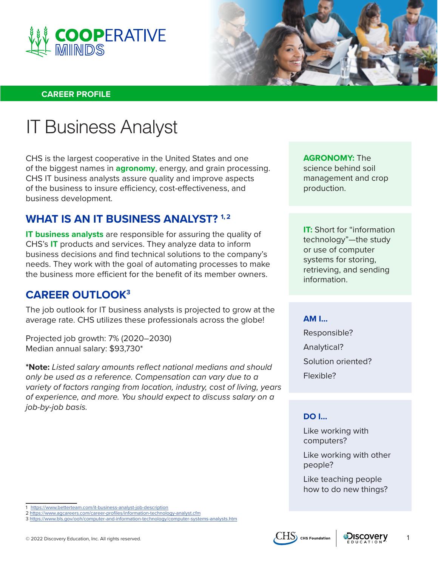



#### **CAREER PROFILE**

# IT Business Analyst

CHS is the largest cooperative in the United States and one of the biggest names in **agronomy**, energy, and grain processing. CHS IT business analysts assure quality and improve aspects of the business to insure efficiency, cost-effectiveness, and business development.

## **WHAT IS AN IT BUSINESS ANALYST?** 1,2

**IT business analysts** are responsible for assuring the quality of CHS's **IT** products and services. They analyze data to inform business decisions and find technical solutions to the company's needs. They work with the goal of automating processes to make the business more efficient for the benefit of its member owners.

### **CAREER OUTLOOK3**

The job outlook for IT business analysts is projected to grow at the average rate. CHS utilizes these professionals across the globe!

Projected job growth: 7% (2020–2030) Median annual salary: \$93,730\*

**\*Note:** *Listed salary amounts reflect national medians and should only be used as a reference. Compensation can vary due to a variety of factors ranging from location, industry, cost of living, years of experience, and more. You should expect to discuss salary on a job-by-job basis.*

**AGRONOMY:** The science behind soil management and crop production.

**IT:** Short for "information technology"—the study or use of computer systems for storing, retrieving, and sending information.

#### **AM I...**

Responsible? Analytical? Solution oriented? Flexible?

#### **DO I...**

Like working with computers?

Like working with other people?

Like teaching people how to do new things?





<sup>1</sup> <https://www.betterteam.com/it-business-analyst-job-description>

<sup>2</sup> <https://www.agcareers.com/career-profiles/information-technology-analyst.cfm>

<sup>3</sup> <https://www.bls.gov/ooh/computer-and-information-technology/computer-systems-analysts.htm>